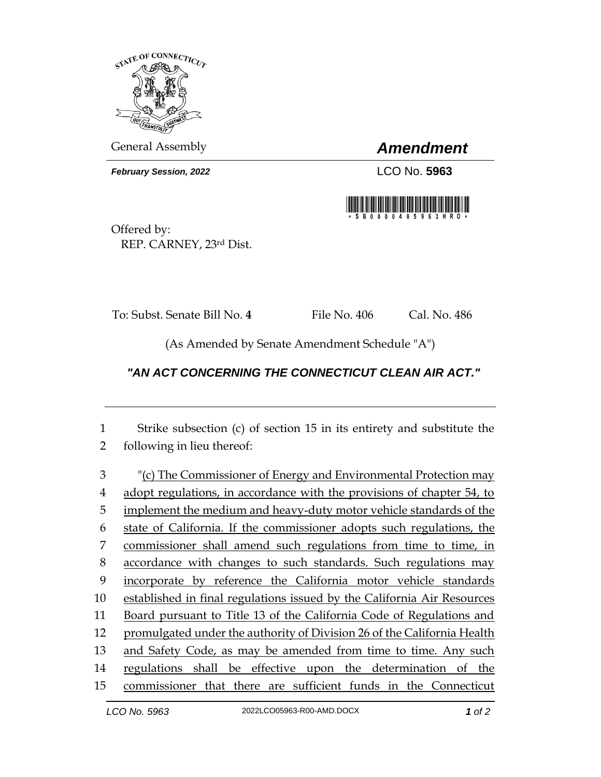

General Assembly *Amendment*

*February Session, 2022* LCO No. **5963**



Offered by: REP. CARNEY, 23rd Dist.

To: Subst. Senate Bill No. **4** File No. 406 Cal. No. 486

(As Amended by Senate Amendment Schedule "A")

## *"AN ACT CONCERNING THE CONNECTICUT CLEAN AIR ACT."*

1 Strike subsection (c) of section 15 in its entirety and substitute the 2 following in lieu thereof:

 "(c) The Commissioner of Energy and Environmental Protection may adopt regulations, in accordance with the provisions of chapter 54, to 5 implement the medium and heavy-duty motor vehicle standards of the state of California. If the commissioner adopts such regulations, the commissioner shall amend such regulations from time to time, in accordance with changes to such standards. Such regulations may incorporate by reference the California motor vehicle standards established in final regulations issued by the California Air Resources Board pursuant to Title 13 of the California Code of Regulations and promulgated under the authority of Division 26 of the California Health 13 and Safety Code, as may be amended from time to time. Any such regulations shall be effective upon the determination of the commissioner that there are sufficient funds in the Connecticut